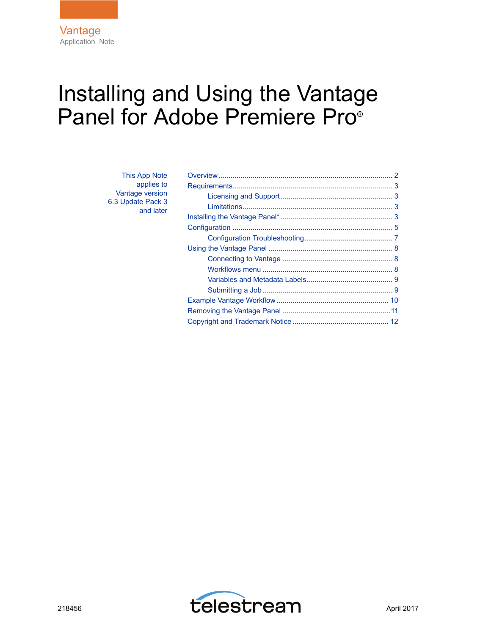# Installing and Using the Vantage Panel for Adobe Premiere Pro<sup>®</sup>

| This App Note     |
|-------------------|
| applies to        |
| Vantage version   |
| 6.3 Update Pack 3 |
| and later         |

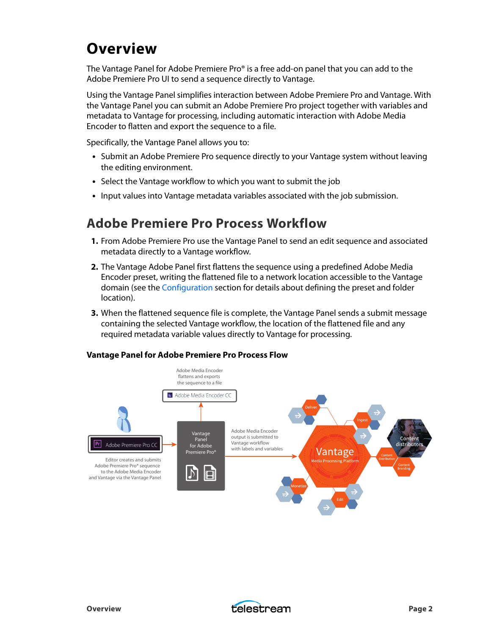## <span id="page-1-0"></span>**Overview**

The Vantage Panel for Adobe Premiere Pro® is a free add-on panel that you can add to the Adobe Premiere Pro UI to send a sequence directly to Vantage.

Using the Vantage Panel simplifies interaction between Adobe Premiere Pro and Vantage. With the Vantage Panel you can submit an Adobe Premiere Pro project together with variables and metadata to Vantage for processing, including automatic interaction with Adobe Media Encoder to flatten and export the sequence to a file.

Specifically, the Vantage Panel allows you to:

- **•** Submit an Adobe Premiere Pro sequence directly to your Vantage system without leaving the editing environment.
- **•** Select the Vantage workflow to which you want to submit the job
- **•** Input values into Vantage metadata variables associated with the job submission.

### **Adobe Premiere Pro Process Workflow**

- **1.** From Adobe Premiere Pro use the Vantage Panel to send an edit sequence and associated metadata directly to a Vantage workflow.
- **2.** The Vantage Adobe Panel first flattens the sequence using a predefined Adobe Media Encoder preset, writing the flattened file to a network location accessible to the Vantage domain (see the [Configuration](#page-4-0) section for details about defining the preset and folder location).
- **3.** When the flattened sequence file is complete, the Vantage Panel sends a submit message containing the selected Vantage workflow, the location of the flattened file and any required metadata variable values directly to Vantage for processing.

#### **Vantage Panel for Adobe Premiere Pro Process Flow**



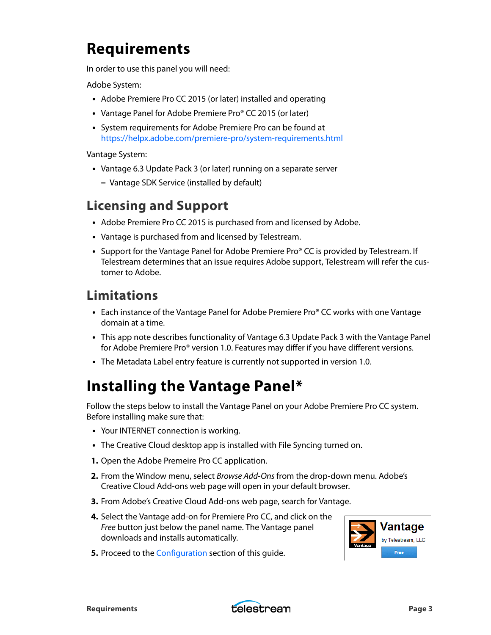## <span id="page-2-1"></span>**Requirements**

In order to use this panel you will need:

Adobe System:

- **•** Adobe Premiere Pro CC 2015 (or later) installed and operating
- **•** Vantage Panel for Adobe Premiere Pro® CC 2015 (or later)
- **•** System requirements for Adobe Premiere Pro can be found a[t](https://helpx.adobe.com/premiere-pro/system-requirements.html#Adobe%20Premiere%20Pro%20CC%20(2015)%20system%20requirements%20and%20language%20versions) [https://helpx.adobe.com/premiere-pro/system-requirements.html](https://helpx.adobe.com/premiere-pro/system-requirements.html#Adobe%20Premiere%20Pro%20CC%20(2015)%20system%20requirements%20and%20language%20versions)

Vantage System:

- **•** Vantage 6.3 Update Pack 3 (or later) running on a separate server
	- **–** Vantage SDK Service (installed by default)

### <span id="page-2-0"></span>**Licensing and Support**

- **•** Adobe Premiere Pro CC 2015 is purchased from and licensed by Adobe.
- **•** Vantage is purchased from and licensed by Telestream.
- **•** Support for the Vantage Panel for Adobe Premiere Pro® CC is provided by Telestream. If Telestream determines that an issue requires Adobe support, Telestream will refer the customer to Adobe.

### <span id="page-2-2"></span>**Limitations**

- **•** Each instance of the Vantage Panel for Adobe Premiere Pro® CC works with one Vantage domain at a time.
- **•** This app note describes functionality of Vantage 6.3 Update Pack 3 with the Vantage Panel for Adobe Premiere Pro® version 1.0. Features may differ if you have different versions.
- **•** The Metadata Label entry feature is currently not supported in version 1.0.

## <span id="page-2-3"></span>**Installing the Vantage Panel\***

Follow the steps below to install the Vantage Panel on your Adobe Premiere Pro CC system. Before installing make sure that:

- **•** Your INTERNET connection is working.
- **•** The Creative Cloud desktop app is installed with File Syncing turned on.
- **1.** Open the Adobe Premeire Pro CC application.
- **2.** From the Window menu, select Browse Add-Ons from the drop-down menu. Adobe's Creative Cloud Add-ons web page will open in your default browser.
- **3.** From Adobe's Creative Cloud Add-ons web page, search for Vantage.
- **4.** Select the Vantage add-on for Premiere Pro CC, and click on the Free button just below the panel name. The Vantage panel downloads and installs automatically.
- **5.** Proceed to the [Configuration](#page-4-0) section of this guide.



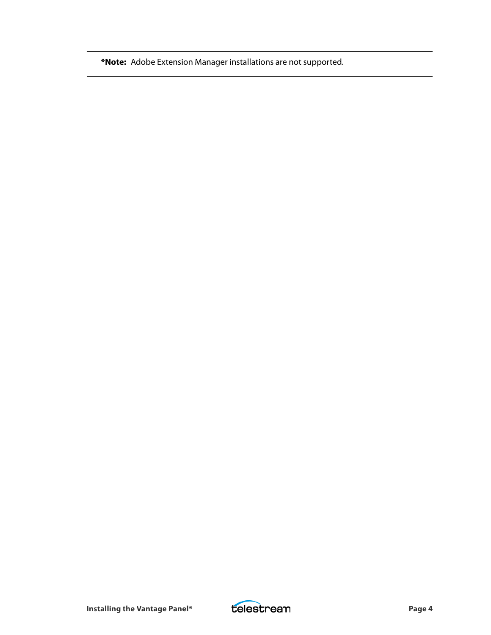**\*Note:** Adobe Extension Manager installations are not supported.

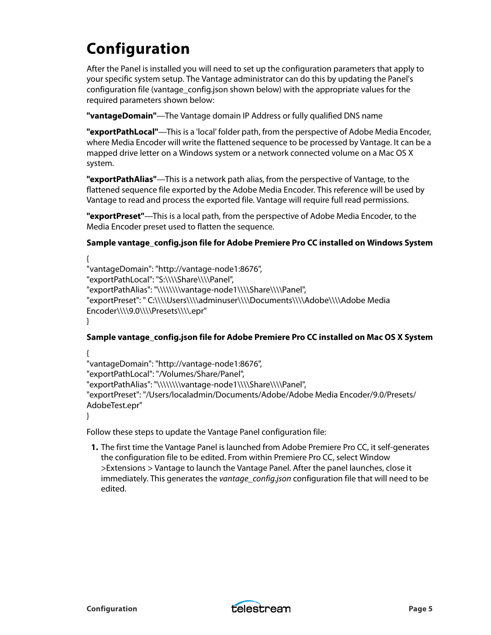## <span id="page-4-0"></span>**Configuration**

After the Panel is installed you will need to set up the configuration parameters that apply to your specific system setup. The Vantage administrator can do this by updating the Panel's configuration file (vantage\_config.json shown below) with the appropriate values for the required parameters shown below:

**"vantageDomain"**—The Vantage domain IP Address or fully qualified DNS name

**"exportPathLocal"**—This is a 'local' folder path, from the perspective of Adobe Media Encoder, where Media Encoder will write the flattened sequence to be processed by Vantage. It can be a mapped drive letter on a Windows system or a network connected volume on a Mac OS X system.

**"exportPathAlias"**—This is a network path alias, from the perspective of Vantage, to the flattened sequence file exported by the Adobe Media Encoder. This reference will be used by Vantage to read and process the exported file. Vantage will require full read permissions.

**"exportPreset"**—This is a local path, from the perspective of Adobe Media Encoder, to the Media Encoder preset used to flatten the sequence.

#### **Sample vantage\_config.json file for Adobe Premiere Pro CC installed on Windows System**

```
{
"vantageDomain": "http://vantage-node1:8676",
"exportPathLocal": "S:\\\\Share\\\\Panel",
"exportPathAlias": "\\\\\\\\vantage-node1\\\\Share\\\\Panel",
"exportPreset": " C:\\\\Users\\\\adminuser\\\\Documents\\\\Adobe\\\\Adobe Media 
Encoder\\\\9.0\\\\Presets\\\\.epr"
}
```
#### **Sample vantage\_config.json file for Adobe Premiere Pro CC installed on Mac OS X System**

```
{
"vantageDomain": "http://vantage-node1:8676",
"exportPathLocal": "/Volumes/Share/Panel",
"exportPathAlias": "\\\\\\\\vantage-node1\\\\Share\\\\Panel",
"exportPreset": "/Users/localadmin/Documents/Adobe/Adobe Media Encoder/9.0/Presets/
AdobeTest.epr"
}
```
Follow these steps to update the Vantage Panel configuration file:

**1.** The first time the Vantage Panel is launched from Adobe Premiere Pro CC, it self-generates the configuration file to be edited. From within Premiere Pro CC, select Window >Extensions > Vantage to launch the Vantage Panel. After the panel launches, close it immediately. This generates the vantage\_config.json configuration file that will need to be edited.

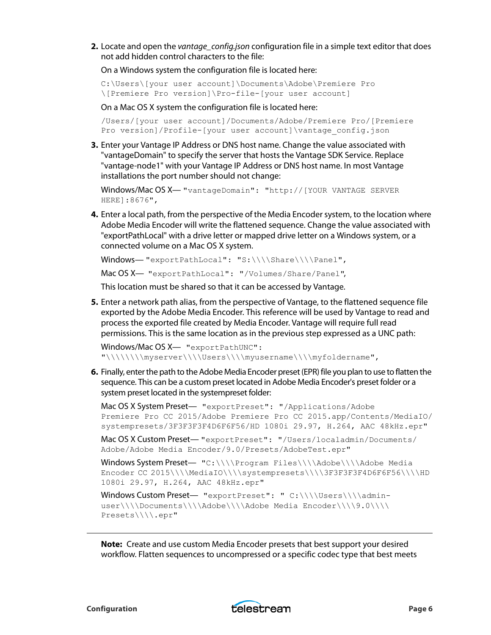**2.** Locate and open the vantage config.json configuration file in a simple text editor that does not add hidden control characters to the file:

On a Windows system the configuration file is located here:

```
C:\Users\[your user account]\Documents\Adobe\Premiere Pro
\[Premiere Pro version]\Pro-file-[your user account]
```
On a Mac OS X system the configuration file is located here:

```
/Users/[your user account]/Documents/Adobe/Premiere Pro/[Premiere 
Pro version]/Profile-[your user account]\vantage_config.json
```
**3.** Enter your Vantage IP Address or DNS host name. Change the value associated with "vantageDomain" to specify the server that hosts the Vantage SDK Service. Replace "vantage-node1" with your Vantage IP Address or DNS host name. In most Vantage installations the port number should not change:

```
Windows/Mac OS X— "vantageDomain": "http://[YOUR VANTAGE SERVER
HERE]:8676",
```
**4.** Enter a local path, from the perspective of the Media Encoder system, to the location where Adobe Media Encoder will write the flattened sequence. Change the value associated with "exportPathLocal" with a drive letter or mapped drive letter on a Windows system, or a connected volume on a Mac OS X system.

```
Windows-"exportPathLocal": "S:\\\\Share\\\\Panel",
```
Mac OS X— "exportPathLocal": "/Volumes/Share/Panel",

This location must be shared so that it can be accessed by Vantage.

**5.** Enter a network path alias, from the perspective of Vantage, to the flattened sequence file exported by the Adobe Media Encoder. This reference will be used by Vantage to read and process the exported file created by Media Encoder. Vantage will require full read permissions. This is the same location as in the previous step expressed as a UNC path:

```
Windows/Mac OS X- "exportPathUNC":
"\\\\\\\\myserver\\\\Users\\\\myusername\\\\myfoldername",
```
**6.** Finally, enter the path to the Adobe Media Encoder preset (EPR) file you plan to use to flatten the sequence. This can be a custom preset located in Adobe Media Encoder's preset folder or a system preset located in the systempreset folder:

Mac OS X System Preset— "exportPreset": "/Applications/Adobe Premiere Pro CC 2015/Adobe Premiere Pro CC 2015.app/Contents/MediaIO/ systempresets/3F3F3F3F4D6F6F56/HD 1080i 29.97, H.264, AAC 48kHz.epr"

Mac OS X Custom Preset— "exportPreset": "/Users/localadmin/Documents/ Adobe/Adobe Media Encoder/9.0/Presets/AdobeTest.epr"

Windows System Preset— "C:\\\\Program Files\\\\Adobe\\\\Adobe Media Encoder CC 2015\\\\MediaIO\\\\systempresets\\\\3F3F3F4D6F6F56\\\\HD 1080i 29.97, H.264, AAC 48kHz.epr"

Windows Custom Preset- "exportPreset": " C:\\\\Users\\\\adminuser\\\\Documents\\\\Adobe\\\\Adobe Media Encoder\\\\9.0\\\\ Presets\\\\.epr"

**Note:** Create and use custom Media Encoder presets that best support your desired workflow. Flatten sequences to uncompressed or a specific codec type that best meets

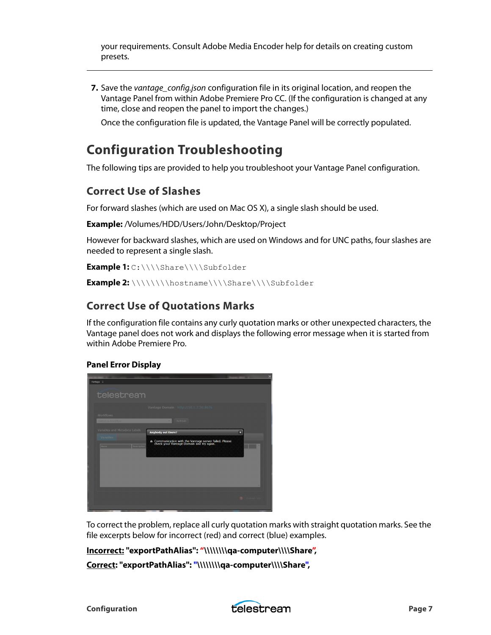your requirements. Consult Adobe Media Encoder help for details on creating custom presets.

**7.** Save the vantage\_config.json configuration file in its original location, and reopen the Vantage Panel from within Adobe Premiere Pro CC. (If the configuration is changed at any time, close and reopen the panel to import the changes.)

Once the configuration file is updated, the Vantage Panel will be correctly populated.

### <span id="page-6-0"></span>**Configuration Troubleshooting**

The following tips are provided to help you troubleshoot your Vantage Panel configuration.

### **Correct Use of Slashes**

For forward slashes (which are used on Mac OS X), a single slash should be used.

**Example:** /Volumes/HDD/Users/John/Desktop/Project

However for backward slashes, which are used on Windows and for UNC paths, four slashes are needed to represent a single slash.

**Example 1:** C:\\\\Share\\\\Subfolder

**Example 2:** \\\\\\\\hostname\\\\Share\\\\Subfolder

#### **Correct Use of Quotations Marks**

If the configuration file contains any curly quotation marks or other unexpected characters, the Vantage panel does not work and displays the following error message when it is started from within Adobe Premiere Pro.

#### **Panel Error Display**



To correct the problem, replace all curly quotation marks with straight quotation marks. See the file excerpts below for incorrect (red) and correct (blue) examples.

**Incorrect: "exportPathAlias": "\\\\\\\\qa-computer\\\\Share",**

**Correct: "exportPathAlias": "\\\\\\\\qa-computer\\\\Share",**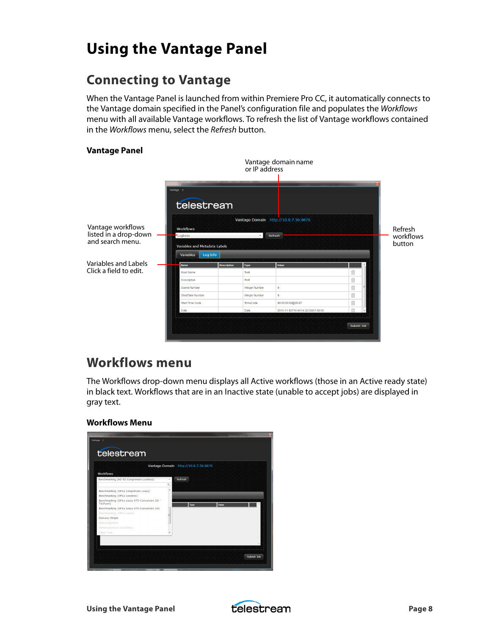## <span id="page-7-1"></span>**Using the Vantage Panel**

## <span id="page-7-0"></span>**Connecting to Vantage**

When the Vantage Panel is launched from within Premiere Pro CC, it automatically connects to the Vantage domain specified in the Panel's configuration file and populates the Workflows menu with all available Vantage workflows. To refresh the list of Vantage workflows contained in the Workflows menu, select the Refresh button.

#### **Vantage Panel**



### <span id="page-7-2"></span>**Workflows menu**

The Workflows drop-down menu displays all Active workflows (those in an Active ready state) in black text. Workflows that are in an Inactive state (unable to accept jobs) are displayed in gray text.

#### **Workflows Menu**

|                                                           | Vantage Domain http://10.0.7.56:8676 |         |       |  |
|-----------------------------------------------------------|--------------------------------------|---------|-------|--|
| <b>Workflows</b>                                          |                                      |         |       |  |
| Benchmarking (AS-02 Comprimato Lossless)                  | $\mathbf{A}$                         | Refresh |       |  |
|                                                           | $\alpha$                             |         |       |  |
| Benchmarking (OP1a Comprimato Lossy)                      | ٠                                    |         |       |  |
| Benchmarking (OP1a Lossless)                              |                                      |         |       |  |
| Benchmarking (OP1a Lossy STD Conversion 25i -<br>Tachyon) |                                      | Type    | Value |  |
| Benchmarking (OP1a Lossy STD Conversion 25i)              |                                      |         |       |  |
| Benchmarking (OP1a Lossy)                                 |                                      |         |       |  |
| Delivery-Simple                                           |                                      |         |       |  |
| <b>DeliveryOptions</b>                                    |                                      |         |       |  |
| DeliveryOptions (Variables)                               |                                      |         |       |  |
| False-True                                                |                                      |         |       |  |
|                                                           |                                      |         |       |  |
|                                                           |                                      |         |       |  |

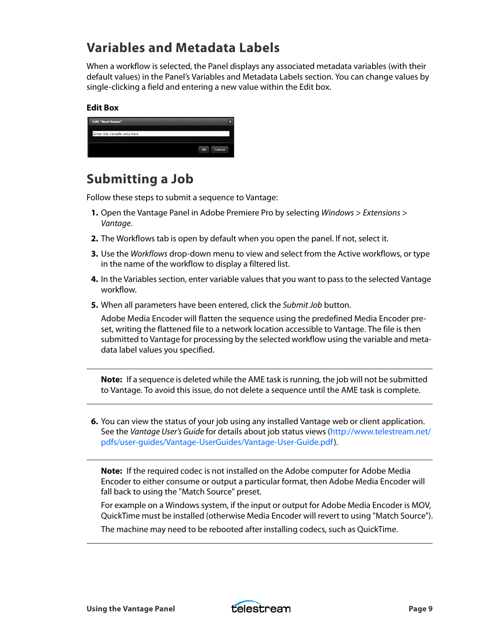### <span id="page-8-0"></span>**Variables and Metadata Labels**

When a workflow is selected, the Panel displays any associated metadata variables (with their default values) in the Panel's Variables and Metadata Labels section. You can change values by single-clicking a field and entering a new value within the Edit box.

#### **Edit Box**

| <b>Edit "Reel Name"</b>      |    |        |
|------------------------------|----|--------|
|                              |    |        |
| Enter the variable data here |    |        |
|                              |    |        |
|                              |    |        |
|                              | OK | Cancel |

### <span id="page-8-1"></span>**Submitting a Job**

Follow these steps to submit a sequence to Vantage:

- **1.** Open the Vantage Panel in Adobe Premiere Pro by selecting Windows > Extensions > Vantage.
- **2.** The Workflows tab is open by default when you open the panel. If not, select it.
- **3.** Use the Workflows drop-down menu to view and select from the Active workflows, or type in the name of the workflow to display a filtered list.
- **4.** In the Variables section, enter variable values that you want to pass to the selected Vantage workflow.
- **5.** When all parameters have been entered, click the Submit Job button.

Adobe Media Encoder will flatten the sequence using the predefined Media Encoder preset, writing the flattened file to a network location accessible to Vantage. The file is then submitted to Vantage for processing by the selected workflow using the variable and metadata label values you specified.

**Note:** If a sequence is deleted while the AME task is running, the job will not be submitted to Vantage. To avoid this issue, do not delete a sequence until the AME task is complete.

**6.** You can view the status of your job using any installed Vantage web or client application. See the Vantage User's Guide for details about job status views [\(http://www.telestream.net/](http://www.telestream.net/pdfs/user-guides/Vantage-UserGuides/Vantage-User-Guide.pdf) [pdfs/user-guides/Vantage-UserGuides/Vantage-User-Guide.pdf](http://www.telestream.net/pdfs/user-guides/Vantage-UserGuides/Vantage-User-Guide.pdf)).

**Note:** If the required codec is not installed on the Adobe computer for Adobe Media Encoder to either consume or output a particular format, then Adobe Media Encoder will fall back to using the "Match Source" preset.

For example on a Windows system, if the input or output for Adobe Media Encoder is MOV, QuickTime must be installed (otherwise Media Encoder will revert to using "Match Source").

The machine may need to be rebooted after installing codecs, such as QuickTime.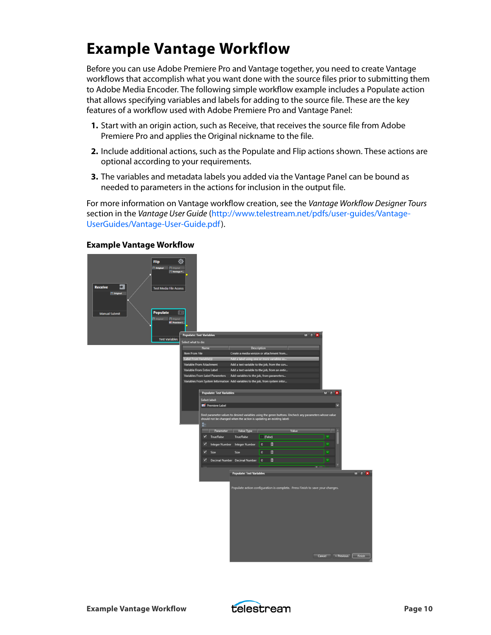## <span id="page-9-0"></span>**Example Vantage Workflow**

Before you can use Adobe Premiere Pro and Vantage together, you need to create Vantage workflows that accomplish what you want done with the source files prior to submitting them to Adobe Media Encoder. The following simple workflow example includes a Populate action that allows specifying variables and labels for adding to the source file. These are the key features of a workflow used with Adobe Premiere Pro and Vantage Panel:

- **1.** Start with an origin action, such as Receive, that receives the source file from Adobe Premiere Pro and applies the Original nickname to the file.
- **2.** Include additional actions, such as the Populate and Flip actions shown. These actions are optional according to your requirements.
- **3.** The variables and metadata labels you added via the Vantage Panel can be bound as needed to parameters in the actions for inclusion in the output file.

For more information on Vantage workflow creation, see the Vantage Workflow Designer Tours section in the Vantage User Guide ([http://www.telestream.net/pdfs/user-guides/Vantage-](http://www.telestream.net/pdfs/user-guides/Vantage-UserGuides/Vantage-User-Guide.pdf)[UserGuides/Vantage-User-Guide.pdf](http://www.telestream.net/pdfs/user-guides/Vantage-UserGuides/Vantage-User-Guide.pdf)).



#### **Example Vantage Workflow**

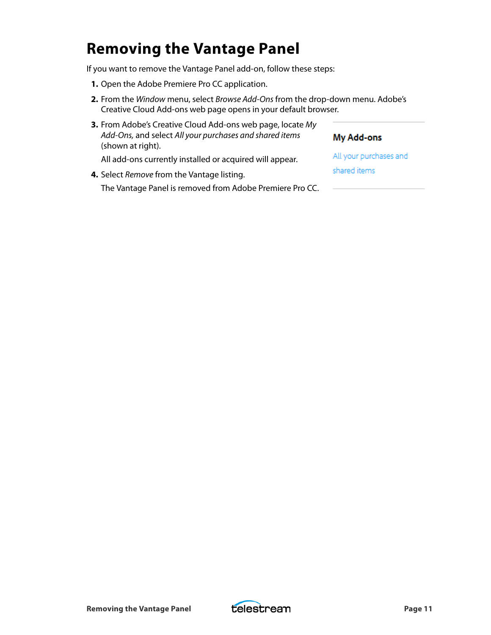## <span id="page-10-0"></span>**Removing the Vantage Panel**

If you want to remove the Vantage Panel add-on, follow these steps:

- **1.** Open the Adobe Premiere Pro CC application.
- **2.** From the Window menu, select Browse Add-Ons from the drop-down menu. Adobe's Creative Cloud Add-ons web page opens in your default browser.

| <b>3.</b> From Adobe's Creative Cloud Add-ons web page, locate My<br>Add-Ons, and select All your purchases and shared items<br>(shown at right). | My Add-ons             |
|---------------------------------------------------------------------------------------------------------------------------------------------------|------------------------|
| All add-ons currently installed or acquired will appear.                                                                                          | All your purchases and |
| 4. Select Remove from the Vantage listing.                                                                                                        | shared items           |
| The Vantage Panel is removed from Adobe Premiere Pro CC.                                                                                          |                        |
|                                                                                                                                                   |                        |